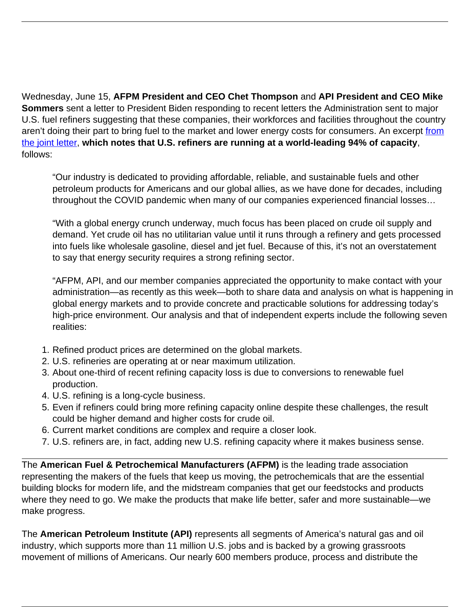Wednesday, June 15, **AFPM President and CEO Chet Thompson** and **API President and CEO Mike Sommers** sent a letter to President Biden responding to recent letters the Administration sent to major U.S. fuel refiners suggesting that these companies, their workforces and facilities throughout the country aren't doing their part to bring fuel to the market and lower energy costs for consumers. An excerpt [from](https://www.afpm.org/sites/default/files/2022-06/20220615%20POTUS%20Letter%20re%20Refining%20Capacity%20FINAL_AFPM_API.pdf) [the joint letter](https://www.afpm.org/sites/default/files/2022-06/20220615%20POTUS%20Letter%20re%20Refining%20Capacity%20FINAL_AFPM_API.pdf), **which notes that U.S. refiners are running at a world-leading 94% of capacity**, follows:

"Our industry is dedicated to providing affordable, reliable, and sustainable fuels and other petroleum products for Americans and our global allies, as we have done for decades, including throughout the COVID pandemic when many of our companies experienced financial losses…

"With a global energy crunch underway, much focus has been placed on crude oil supply and demand. Yet crude oil has no utilitarian value until it runs through a refinery and gets processed into fuels like wholesale gasoline, diesel and jet fuel. Because of this, it's not an overstatement to say that energy security requires a strong refining sector.

"AFPM, API, and our member companies appreciated the opportunity to make contact with your administration—as recently as this week—both to share data and analysis on what is happening in global energy markets and to provide concrete and practicable solutions for addressing today's high-price environment. Our analysis and that of independent experts include the following seven realities:

- 1. Refined product prices are determined on the global markets.
- 2. U.S. refineries are operating at or near maximum utilization.
- 3. About one-third of recent refining capacity loss is due to conversions to renewable fuel production.
- 4. U.S. refining is a long-cycle business.
- 5. Even if refiners could bring more refining capacity online despite these challenges, the result could be higher demand and higher costs for crude oil.
- 6. Current market conditions are complex and require a closer look.
- 7. U.S. refiners are, in fact, adding new U.S. refining capacity where it makes business sense.

The **American Fuel & Petrochemical Manufacturers (AFPM)** is the leading trade association representing the makers of the fuels that keep us moving, the petrochemicals that are the essential building blocks for modern life, and the midstream companies that get our feedstocks and products where they need to go. We make the products that make life better, safer and more sustainable—we make progress.

The **American Petroleum Institute (API)** represents all segments of America's natural gas and oil industry, which supports more than 11 million U.S. jobs and is backed by a growing grassroots movement of millions of Americans. Our nearly 600 members produce, process and distribute the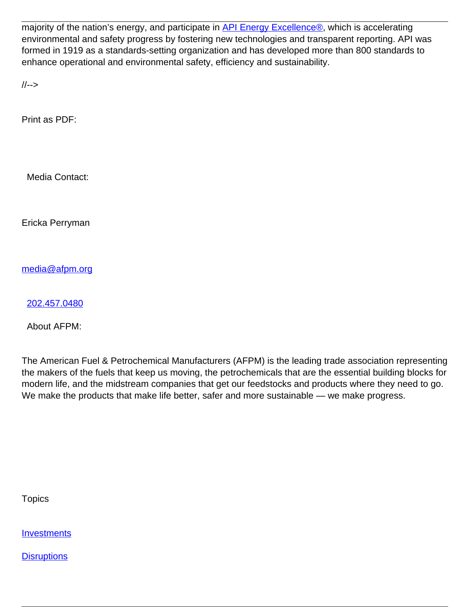majority of the nation's energy, and participate in [API Energy Excellence®,](https://www.api.org/oil-and-natural-gas/api-energy-excellence) which is accelerating environmental and safety progress by fostering new technologies and transparent reporting. API was formed in 1919 as a standards-setting organization and has developed more than 800 standards to enhance operational and environmental safety, efficiency and sustainability.

//-->

Print as PDF:

Media Contact:

Ericka Perryman

[media@afpm.org](mailto:media@afpm.org)

[202.457.0480](tel:202.457.0480)

About AFPM:

The American Fuel & Petrochemical Manufacturers (AFPM) is the leading trade association representing the makers of the fuels that keep us moving, the petrochemicals that are the essential building blocks for modern life, and the midstream companies that get our feedstocks and products where they need to go. We make the products that make life better, safer and more sustainable — we make progress.

**Topics** 

**[Investments](/topic/investments)** 

**[Disruptions](/topic/disruptions)**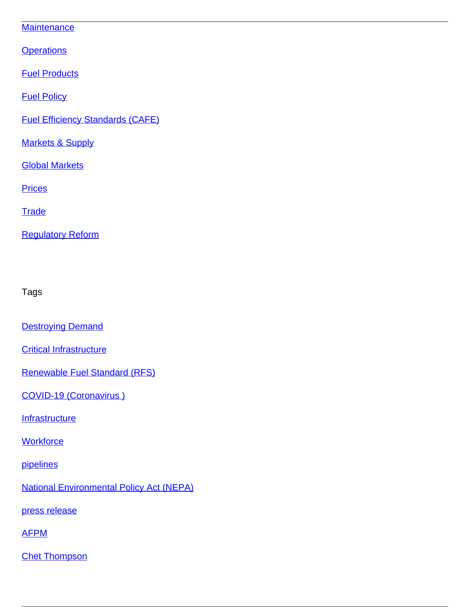## **[Maintenance](/topic/maintenance)**

**[Operations](/topic/operations)** 

**[Fuel Products](/topic/fuel-products)** 

[Fuel Policy](/topic/fuel-policy)

[Fuel Efficiency Standards \(CAFE\)](/topic/fuel-efficiency-standards-cafe)

**[Markets & Supply](/topic/markets-supply)** 

[Global Markets](/topic/global-markets)

**[Prices](/topic/prices)** 

**[Trade](/topic/trade)** 

[Regulatory Reform](/topic/regulatory-reform)

Tags

**[Destroying Demand](/tag/destroying-demand)** 

**[Critical Infrastructure](/tag/critical-infrastructure)** 

[Renewable Fuel Standard \(RFS\)](/tag/renewable-fuel-standard-rfs)

[COVID-19 \(Coronavirus \)](/tag/covid-19-coronavirus)

**[Infrastructure](/tag/infrastructure)** 

**[Workforce](/tag/workforce)** 

[pipelines](/tag/pipelines)

[National Environmental Policy Act \(NEPA\)](/tag/national-environmental-policy-act-nepa)

[press release](/tag/press-release)

[AFPM](/tag/afpm)

[Chet Thompson](/tag/chet-thompson)